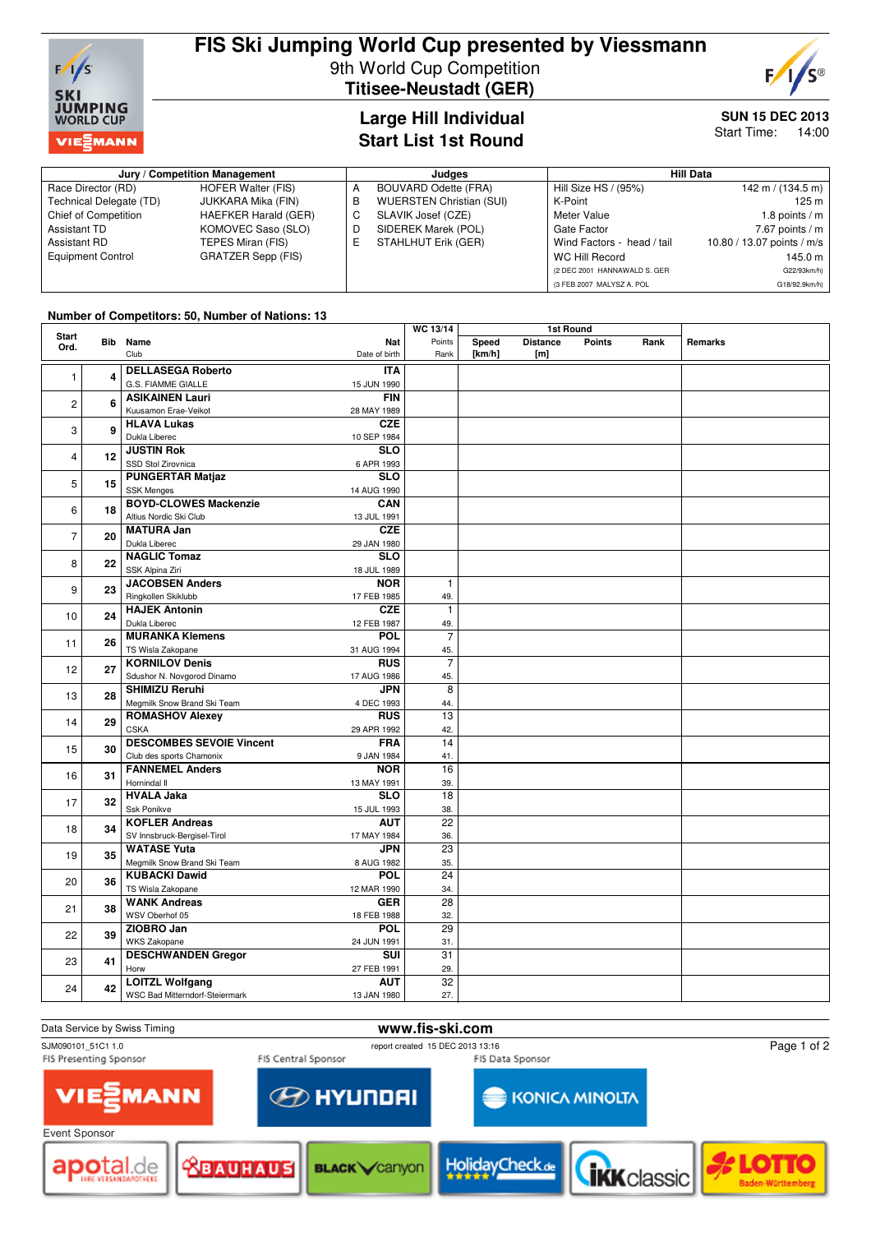

# **FIS Ski Jumping World Cup presented by Viessmann** 9th World Cup Competition **Titisee-Neustadt (GER)**



### **Large Hill Individual Start List 1st Round**

# **SUN 15 DEC 2013**

Start Time: 14:00

| Jury / Competition Management |                           |   | Judaes                          | <b>Hill Data</b>             |                            |  |
|-------------------------------|---------------------------|---|---------------------------------|------------------------------|----------------------------|--|
| Race Director (RD)            | <b>HOFER Walter (FIS)</b> |   | <b>BOUVARD Odette (FRA)</b>     | Hill Size HS / (95%)         | 142 m / (134.5 m)          |  |
| Technical Delegate (TD)       | JUKKARA Mika (FIN)        | в | <b>WUERSTEN Christian (SUI)</b> | K-Point                      | 125 m                      |  |
| <b>Chief of Competition</b>   | HAEFKER Harald (GER)      | С | SLAVIK Josef (CZE)              | Meter Value                  | 1.8 points $/m$            |  |
| Assistant TD                  | KOMOVEC Saso (SLO)        | D | SIDEREK Marek (POL)             | Gate Factor                  | $7.67$ points / m          |  |
| Assistant RD                  | TEPES Miran (FIS)         | E | STAHLHUT Erik (GER)             | Wind Factors - head / tail   | 10.80 / 13.07 points / m/s |  |
| <b>Equipment Control</b>      | <b>GRATZER Sepp (FIS)</b> |   |                                 | WC Hill Record               | 145.0 m                    |  |
|                               |                           |   |                                 | (2 DEC 2001 HANNAWALD S. GER | G22/93km/h)                |  |
|                               |                           |   |                                 | (3 FEB 2007 MALYSZ A, POL    | G18/92.9km/h)              |  |

#### **Number of Competitors: 50, Number of Nations: 13**

| Start               |                        |                                 |                         | WC 13/14        | <b>1st Round</b> |                                     |               |      |         |
|---------------------|------------------------|---------------------------------|-------------------------|-----------------|------------------|-------------------------------------|---------------|------|---------|
| Bib<br>Ord.         |                        | Name<br>Club                    | Nat<br>Date of birth    | Points<br>Rank  | Speed<br>[km/h]  | <b>Distance</b><br>[ <sub>m</sub> ] | <b>Points</b> | Rank | Remarks |
|                     |                        | <b>DELLASEGA Roberto</b>        | <b>ITA</b>              |                 |                  |                                     |               |      |         |
| 4<br>1              |                        | G.S. FIAMME GIALLE              | 15 JUN 1990             |                 |                  |                                     |               |      |         |
|                     | <b>ASIKAINEN Lauri</b> | <b>FIN</b>                      |                         |                 |                  |                                     |               |      |         |
| 6<br>$\overline{c}$ |                        | Kuusamon Erae-Veikot            | 28 MAY 1989             |                 |                  |                                     |               |      |         |
|                     |                        | <b>HLAVA Lukas</b>              | <b>CZE</b>              |                 |                  |                                     |               |      |         |
| 3                   | 9                      | Dukla Liberec                   | 10 SEP 1984             |                 |                  |                                     |               |      |         |
|                     |                        | <b>JUSTIN Rok</b>               | $\overline{\text{SLO}}$ |                 |                  |                                     |               |      |         |
| $\overline{4}$      | 12                     | SSD Stol Zirovnica              | 6 APR 1993              |                 |                  |                                     |               |      |         |
|                     |                        | <b>PUNGERTAR Matjaz</b>         | <b>SLO</b>              |                 |                  |                                     |               |      |         |
| 5                   | 15                     | <b>SSK Menges</b>               | 14 AUG 1990             |                 |                  |                                     |               |      |         |
|                     |                        | <b>BOYD-CLOWES Mackenzie</b>    | CAN                     |                 |                  |                                     |               |      |         |
| 6                   | 18                     | Altius Nordic Ski Club          | 13 JUL 1991             |                 |                  |                                     |               |      |         |
|                     |                        | <b>MATURA Jan</b>               | <b>CZE</b>              |                 |                  |                                     |               |      |         |
| $\overline{7}$      | 20                     | Dukla Liberec                   | 29 JAN 1980             |                 |                  |                                     |               |      |         |
|                     |                        | <b>NAGLIC Tomaz</b>             | <b>SLO</b>              |                 |                  |                                     |               |      |         |
| 8                   | 22                     | SSK Alpina Ziri                 | 18 JUL 1989             |                 |                  |                                     |               |      |         |
|                     |                        | <b>JACOBSEN Anders</b>          | <b>NOR</b>              | $\mathbf{1}$    |                  |                                     |               |      |         |
| 9                   | 23                     | Ringkollen Skiklubb             | 17 FEB 1985             | 49.             |                  |                                     |               |      |         |
|                     |                        | <b>HAJEK Antonin</b>            | <b>CZE</b>              | $\mathbf{1}$    |                  |                                     |               |      |         |
| 10                  | 24                     | Dukla Liberec                   | 12 FEB 1987             | 49.             |                  |                                     |               |      |         |
|                     |                        | <b>MURANKA Klemens</b>          | POL                     | $\overline{7}$  |                  |                                     |               |      |         |
| 11                  | 26                     | TS Wisla Zakopane               | 31 AUG 1994             | 45.             |                  |                                     |               |      |         |
|                     |                        | <b>KORNILOV Denis</b>           | <b>RUS</b>              | $\overline{7}$  |                  |                                     |               |      |         |
| 12                  | 27                     | Sdushor N. Novgorod Dinamo      | 17 AUG 1986             | 45.             |                  |                                     |               |      |         |
|                     | 28                     | <b>SHIMIZU Reruhi</b>           | <b>JPN</b>              | $\overline{8}$  |                  |                                     |               |      |         |
| 13                  |                        | Megmilk Snow Brand Ski Team     | 4 DEC 1993              | 44.             |                  |                                     |               |      |         |
| 14                  | 29                     | <b>ROMASHOV Alexey</b>          | <b>RUS</b>              | $\overline{13}$ |                  |                                     |               |      |         |
|                     |                        | <b>CSKA</b>                     | 29 APR 1992             | 42.             |                  |                                     |               |      |         |
| 15                  | 30                     | <b>DESCOMBES SEVOIE Vincent</b> | <b>FRA</b>              | 14              |                  |                                     |               |      |         |
|                     |                        | Club des sports Chamonix        | 9 JAN 1984              | 41.             |                  |                                     |               |      |         |
| 16                  |                        | <b>FANNEMEL Anders</b><br>31    | <b>NOR</b>              | 16              |                  |                                     |               |      |         |
|                     |                        | Hornindal II                    | 13 MAY 1991             | 39.             |                  |                                     |               |      |         |
| 17                  | 32                     | <b>HVALA Jaka</b>               | $\overline{\text{SLO}}$ | 18              |                  |                                     |               |      |         |
|                     |                        | Ssk Ponikve                     | 15 JUL 1993             | 38.             |                  |                                     |               |      |         |
| 18                  | 34                     | <b>KOFLER Andreas</b>           | <b>AUT</b>              | 22              |                  |                                     |               |      |         |
|                     |                        | SV Innsbruck-Bergisel-Tirol     | 17 MAY 1984             | 36.             |                  |                                     |               |      |         |
| 19                  | 35                     | <b>WATASE Yuta</b>              | <b>JPN</b>              | $\overline{23}$ |                  |                                     |               |      |         |
|                     |                        | Megmilk Snow Brand Ski Team     | 8 AUG 1982              | 35.             |                  |                                     |               |      |         |
| 20                  | 36                     | <b>KUBACKI Dawid</b>            | <b>POL</b>              | 24              |                  |                                     |               |      |         |
|                     |                        | TS Wisla Zakopane               | 12 MAR 1990             | 34.             |                  |                                     |               |      |         |
| 21                  | 38                     | <b>WANK Andreas</b>             | <b>GER</b>              | 28              |                  |                                     |               |      |         |
|                     |                        | WSV Oberhof 05                  | 18 FEB 1988             | 32.             |                  |                                     |               |      |         |
| 22                  | 39                     | ZIOBRO Jan                      | POL                     | 29              |                  |                                     |               |      |         |
|                     |                        | <b>WKS Zakopane</b>             | 24 JUN 1991             | 31.             |                  |                                     |               |      |         |
| 23                  | 41                     | <b>DESCHWANDEN Gregor</b>       | <b>SUI</b>              | 31              |                  |                                     |               |      |         |
|                     |                        | Horw                            | 27 FEB 1991             | 29.             |                  |                                     |               |      |         |
| 24                  | 42                     | <b>LOITZL Wolfgang</b>          | <b>AUT</b>              | $\overline{32}$ |                  |                                     |               |      |         |
|                     |                        | WSC Bad Mitterndorf-Steiermark  | 13 JAN 1980             | 27.             |                  |                                     |               |      |         |